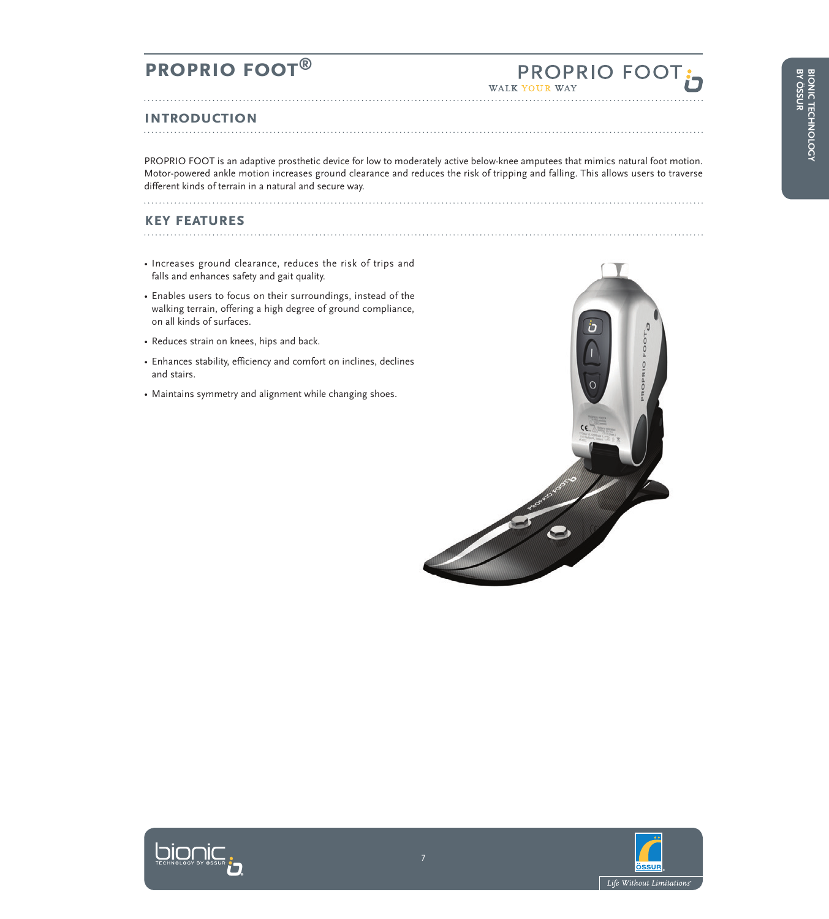# **PROPRIO FOOT**

#### **Introduction**

PROPRIO FOOT is an adaptive prosthetic device for low to moderately active below-knee amputees that mimics natural foot motion. Motor-powered ankle motion increases ground clearance and reduces the risk of tripping and falling. This allows users to traverse different kinds of terrain in a natural and secure way.

#### **key features**

• Increases ground clearance, reduces the risk of trips and falls and enhances safety and gait quality.

- Enables users to focus on their surroundings, instead of the walking terrain, offering a high degree of ground compliance, on all kinds of surfaces.
- Reduces strain on knees, hips and back.
- Enhances stability, efficiency and comfort on inclines, declines and stairs.
- Maintains symmetry and alignment while changing shoes.





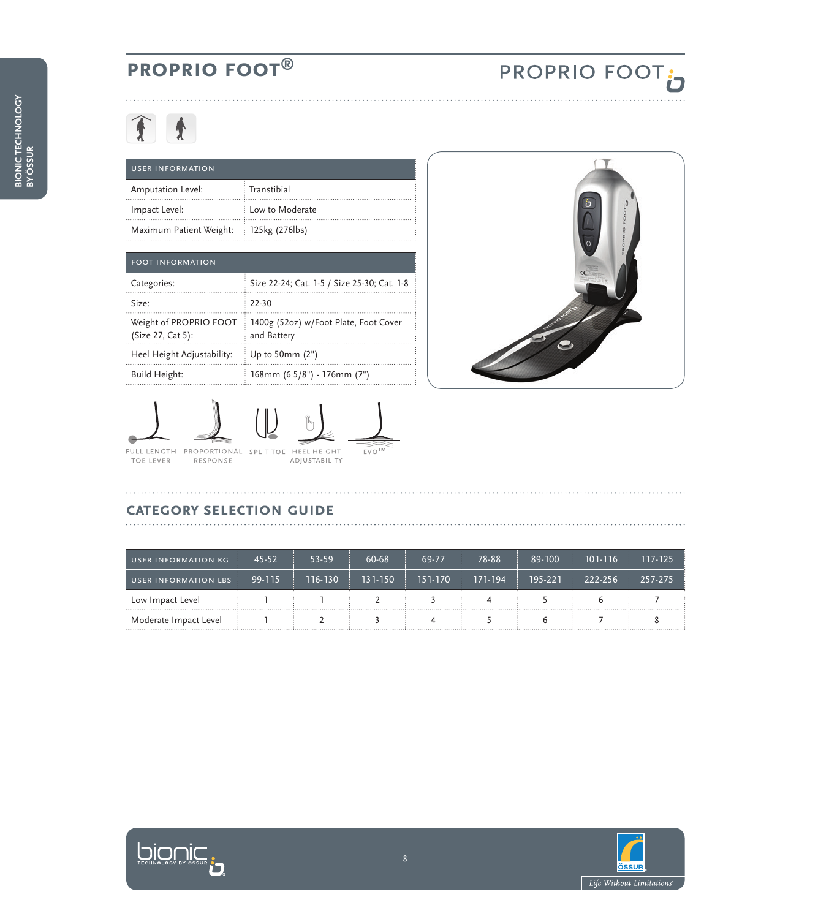## **PROPRIO FOOT**

# 全土

|               | <b>USER INFORMATION</b> |                   |  |  |
|---------------|-------------------------|-------------------|--|--|
|               | Amputation Level:       | $\pm$ Transtibial |  |  |
| Impact Level: |                         | Low to Moderate   |  |  |
|               | Maximum Patient Weight: | 125kg (276lbs)    |  |  |

| <b>FOOT INFORMATION</b>                     |                                                      |  |  |
|---------------------------------------------|------------------------------------------------------|--|--|
| Categories:                                 | Size 22-24; Cat. 1-5 / Size 25-30; Cat. 1-8          |  |  |
| Size:                                       | 22-30                                                |  |  |
| Weight of PROPRIO FOOT<br>(Size 27, Cat 5): | 1400g (52oz) w/Foot Plate, Foot Cover<br>and Battery |  |  |
| Heel Height Adjustability:                  | Up to $50$ mm $(2")$                                 |  |  |
| Build Height:                               | 168mm (6 5/8") - 176mm (7")                          |  |  |





### **Category Selection Guide**

| USER INFORMATION KG   | 45-52  | 53-59   | $60 - 68$ | 69-77   | 78-88   | 89-100  | 101-116 | 117-125 |
|-----------------------|--------|---------|-----------|---------|---------|---------|---------|---------|
| USER INFORMATION LBS  | 99-115 | 116-130 | 131-150   | 151-170 | 171-194 | 195-221 | 222-256 | 257-275 |
| Low Impact Level      |        |         |           |         |         |         |         |         |
| Moderate Impact Level |        |         |           |         |         |         |         |         |



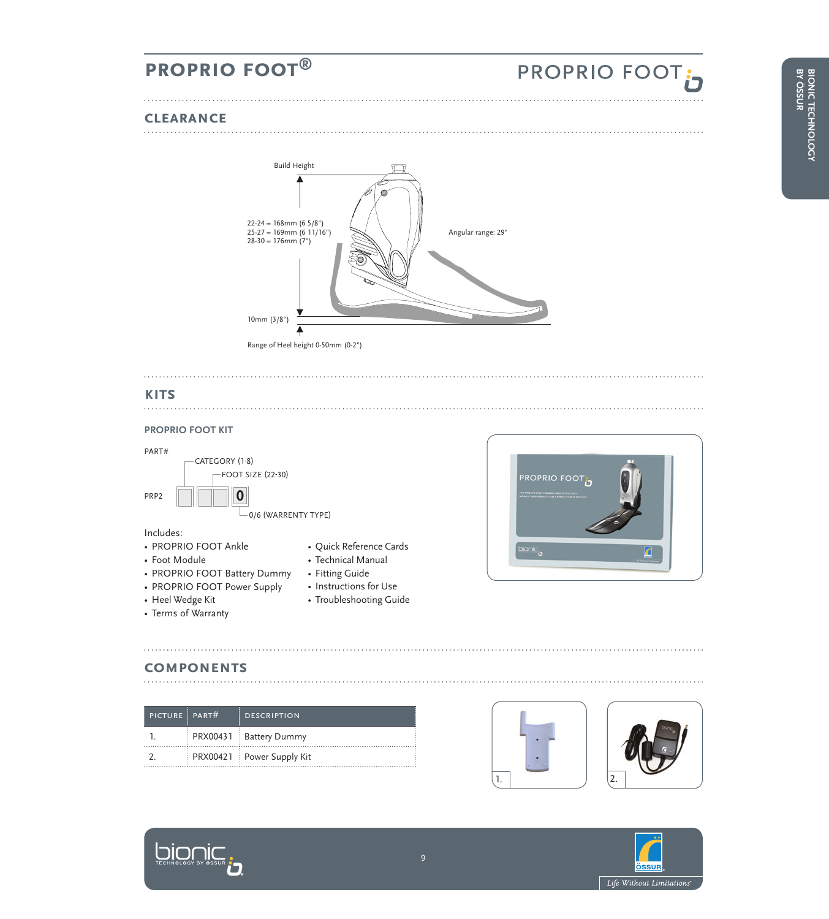## **PROPRIO FOOT**

#### **Clearance**



#### **kits**

#### **proprio foot kit**



Includes:

• Foot Module

- 
- 
- Technical Manual
- PROPRIO FOOT Battery Dummy
- PROPRIO FOOT Power Supply
- Heel Wedge Kit
- Terms of Warranty
- 
- 
- Fitting Guide
- Instructions for Use
	- Troubleshooting Guide



#### **components**

**DIOMIC** 

| PICTURE PART# | <b>DESCRIPTION</b>        |
|---------------|---------------------------|
|               | PRX00431 Battery Dummy    |
|               | PRX00421 Power Supply Kit |